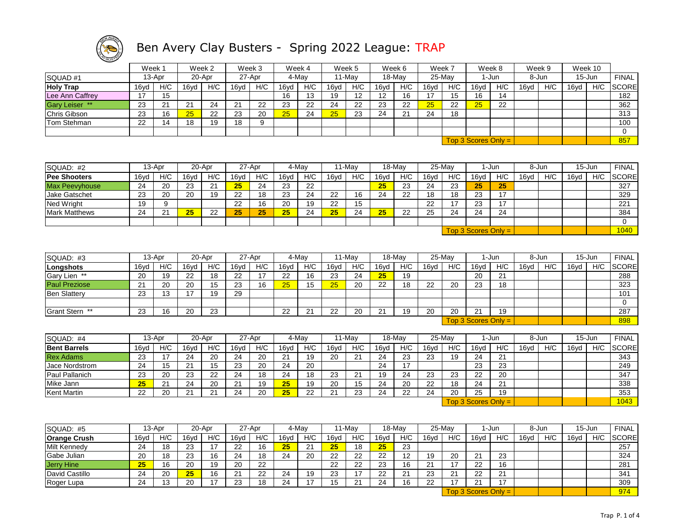

|                  | Week 1<br>Week 2<br>Week 3<br>20-Apr<br>27-Apr<br>13-Apr |     |      |     |      |     | Week 4 |       | Week 5 |        | Week 6 | Week 7    |      |           | Week 8 | Week 9                      |       |     | Week 10 |        |              |
|------------------|----------------------------------------------------------|-----|------|-----|------|-----|--------|-------|--------|--------|--------|-----------|------|-----------|--------|-----------------------------|-------|-----|---------|--------|--------------|
| SQUAD#1          |                                                          |     |      |     |      |     |        | 4-May |        | 11-Mav |        | $18$ -May |      | $25$ -May |        | l-Jun                       | 8-Jun |     |         | 15-Jun | <b>FINAL</b> |
| <b>Holy Trap</b> | 16yd                                                     | H/C | 16vd | H/C | 16vd | H/C | 16yd   | H/C   | 16vd   | H/C    | 16vd   | H/C       | 16yd | H/C       | 16vd   | H/C                         | 16vd  | H/C | 16vd    | H/C    | <b>SCORE</b> |
| Lee Ann Caffrey  | 17                                                       | 15  |      |     |      |     | 16     | 13    | 19     | 10     | 12     | 16        | 17   | 15        | 16     | 14                          |       |     |         |        | 182          |
| Gary Leiser **   | 23                                                       | つイ  | 21   | 24  | 21   | 22  | 23     | 22    | 24     | 22     | 23     | 22        | 25   | 22        | 25     | 22                          |       |     |         |        | 362          |
| Chris Gibson     | 23                                                       | 16  | 25   | 22  | 23   | 20  | 25     | 24    | 25     | 23     | 24     | 21        | 24   | 18        |        |                             |       |     |         |        | 313          |
| Tom Stehman      | 22                                                       |     | 18   | 19  | 18   |     |        |       |        |        |        |           |      |           |        |                             |       |     |         |        | 100          |
|                  |                                                          |     |      |     |      |     |        |       |        |        |        |           |      |           |        |                             |       |     |         |        |              |
|                  |                                                          |     |      |     |      |     |        |       |        |        |        |           |      |           |        | Top 3 Scores Only = $\vert$ |       |     |         |        | 857          |

| SQUAD: #2             |      | 13-Apr |      | 20-Apr |      | 27-Apr |      | 4-Mav |      | 11-May |      | 18-May |      | 25-May |      | 1-Jun                 |      | 8-Jun |      | $15 - Jun$ | <b>FINAL</b> |
|-----------------------|------|--------|------|--------|------|--------|------|-------|------|--------|------|--------|------|--------|------|-----------------------|------|-------|------|------------|--------------|
| <b>Pee Shooters</b>   | 16yd | H/C    | 16vd | H/C    | 16vd | H/C    | 16yd | H/C   | 16yd | H/C    | 16yd | H/C    | 16vd | H/C    | 16vd | H/C                   | 16vd | H/C   | 16yd | H/C        | <b>SCORE</b> |
| <b>Max Peevyhouse</b> | 24   | 20     | 23   | 21     | 25   | 24     | 23   | 22    |      |        | 25   | 23     | 24   | 23     | 25   | 25                    |      |       |      |            | 327          |
| Jake Gatschet         | 23   | 20     | 20   | 19     | 22   | 18     | 23   | 24    | 22   | 16     | 24   | 22     | 18   | 18     | 23   | 17                    |      |       |      |            | 329          |
| Ned Wright            | 19   |        |      |        | 22   | 16     | 20   | 19    | 22   | 15     |      |        | 22   |        | 23   | 17                    |      |       |      |            | 221          |
| <b>Mark Matthews</b>  | 24   | 21     | 25   | 22     | 25   | 25     | 25   | 24    | 25   | 24     | 25   | 22     | 25   | 24     | 24   | 24                    |      |       |      |            | 384          |
|                       |      |        |      |        |      |        |      |       |      |        |      |        |      |        |      |                       |      |       |      |            |              |
|                       |      |        |      |        |      |        |      |       |      |        |      |        |      |        |      | $Top 3$ Scores Only = |      |       |      |            | 1040         |

| SQUAD: #3            |      | 13-Apr        |      | 20-Apr |      | 27-Apr |      | 4-Mav |         | 11-Mav |      | 18-May |      | 25-May |                       | 1-Jun |      | 8-Jun |      | $15 - Jun$ | <b>FINAL</b> |
|----------------------|------|---------------|------|--------|------|--------|------|-------|---------|--------|------|--------|------|--------|-----------------------|-------|------|-------|------|------------|--------------|
| Longshots            | 16ya | H/C           | 16yd | H/C    | 16yd | H/C    | 16yd | H/C   | 16yd    | H/C    | 16yd | H/C    | 16vd | H/C    | 16yd                  | H/C   | 16yd | H/C   | 16vd | H/C        | <b>SCORE</b> |
| Gary Lien **         | 20   | 19            | 22   | 18     | 22   |        | 22   | 16    | 23      | 24     | 25   | 19     |      |        | 20                    | 21    |      |       |      |            | 288          |
| <b>Paul Preziose</b> | 21   | 20            | 20   | 15     | 23   | 16     | 25   | 15    | 25      | 20     | 22   | 18     | 22   | 20     | 23                    | 18    |      |       |      |            | 323          |
| <b>Ben Slatterv</b>  | 23   | $\sim$<br>د ا |      | 19     | 29   |        |      |       |         |        |      |        |      |        |                       |       |      |       |      |            | 101          |
|                      |      |               |      |        |      |        |      |       |         |        |      |        |      |        |                       |       |      |       |      |            |              |
| Grant Stern **       | 23   | 16            | 20   | 23     |      |        | 22   | ິ     | つつ<br>ᅩ | 20     | 21   | 19     | 20   | -20    | 21                    | 19    |      |       |      |            | 287          |
|                      |      |               |      |        |      |        |      |       |         |        |      |        |      |        | $Top 3$ Scores Only = |       |      |       |      |            | 898          |

| SQUAD: #4             |      | 13-Apr |      | 20-Apr             |           | 27-Apr    |                | 4-Mav    |                    | 11-Mav   |      | 18-May  |      | 25-May |                       | 1-Jun |      | 8-Jun | 15-Jun |     | FINAL        |
|-----------------------|------|--------|------|--------------------|-----------|-----------|----------------|----------|--------------------|----------|------|---------|------|--------|-----------------------|-------|------|-------|--------|-----|--------------|
| <b>Bent Barrels</b>   | 16vd | H/C    | 16vd | H/C                | 16vd      | H/C       | 16vd           | H/C      | 16vd               | H/C      | 16yd | H/C     | 16vd | H/C    | 16vd                  | H/C   | 16yd | H/C   | 16yd   | H/C | <b>SCORE</b> |
| <b>Rex Adams</b>      | 23   |        | 24   | 20                 | 24        | 20        | 21<br><u>_</u> | 19       | 20                 | $\Omega$ | 24   | 23      | 23   | 19     | 24                    | 21    |      |       |        |     | 343          |
| <b>Jace Nordstrom</b> | 24   |        | 21   | w                  | 23        | 20        | 24             | 20       |                    |          | 24   |         |      |        | 23                    | 23    |      |       |        |     | 249          |
| Paul Pallanich        | 23   | 20     | 23   | 22                 | 24        | 18        | 24             | 18       | 23                 | _        | 19   | 24      | 23   | 23     | 22                    | 20    |      |       |        |     | 347          |
| Mike Jann             | 25   | 21     | 24   | 20                 | 21<br>∠ ا | 10<br>౹ చ | 25             | 19       | 20                 | Ιt       | 24   | 20      | 22   | 18     | 24                    | 21    |      |       |        |     | 338          |
| Kent Martin           | 22   | 20     | 21   | $\sim$<br><u>_</u> | 24        | 20        | 25             | າາ<br>∠∠ | $\sim$<br><u>_</u> |          | 24   | つつ<br>ے | 24   | 20     | 25                    | 19    |      |       |        |     | 353          |
|                       |      |        |      |                    |           |           |                |          |                    |          |      |         |      |        | $Top 3$ Scores Only = |       |      |       |        |     | 1043         |

| SQUAD: #5           |      | 13-Apr |      | 20-Apr |      | 27-Apr |      | 4-May |      | 11-May   |          | 18-May           |      | 25-May   |            | 1-Jun                 |      | 8-Jun |      | $15 - Jun$ | <b>FINAL</b> |
|---------------------|------|--------|------|--------|------|--------|------|-------|------|----------|----------|------------------|------|----------|------------|-----------------------|------|-------|------|------------|--------------|
| <b>Orange Crush</b> | 16yd | H/C    | 16vd | H/C    | 16vd | H/C    | 16vd | H/C   | 16yd | H/C      | 16yd     | H/C              | 16vd | H/C      | 16vd       | H/C                   | 16vd | H/C   | 16yd | H/C        | <b>SCORE</b> |
| <b>Milt Kennedy</b> | 24   | 18     | 23   |        | 22   | 16     | 25   | 21    | 25   | 18       | 25       | 23               |      |          |            |                       |      |       |      |            | 257          |
| Gabe Julian         | 20   | 18     | 23   | 16     | 24   | 18     | 24   | 20    | 22   | つつ<br>∠∠ | 22       | 12               | 19   | 20       | 21         | 23                    |      |       |      |            | 324          |
| <b>Jerry Hine</b>   | 25   | 16     | 20   | 19     | 20   | 22     |      |       | 22   | າາ<br>ᅩ  | 23       | 16               | 21   |          | 22         | 16                    |      |       |      |            | 281          |
| David Castillo      | 24   | 20     | 25   | 16     | 21   | 22     | 24   | 19    | 23   |          | つつ<br>__ | 21<br>$\epsilon$ | 23   | <u>.</u> | 22         | 21                    |      |       |      |            | 341          |
| Roger Lupa          | 24   | כ ו    | 20   |        | 23   | 18     | 24   |       | 15   |          | 24       | 16               | 22   |          | $^{\circ}$ | $\overline{A}$        |      |       |      |            | 309          |
|                     |      |        |      |        |      |        |      |       |      |          |          |                  |      |          |            | $Top 3$ Scores Only = |      |       |      |            | 974          |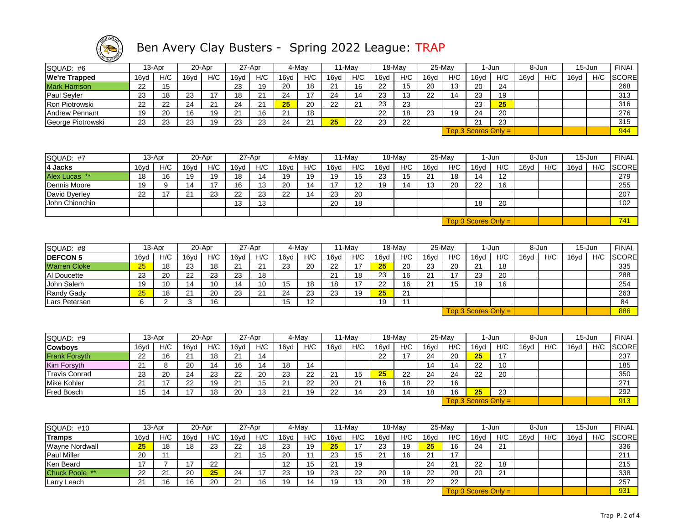

| SQUAD: #6             | 13-Apr |     |      | 20-Apr | 27-Apr |     |      | 4-May |      | 11-Mav |      | 18-Mav |      | 25-May |                       | 1-Jun | 8-Jun |     | 15-Jun |     | <b>FINAL</b> |
|-----------------------|--------|-----|------|--------|--------|-----|------|-------|------|--------|------|--------|------|--------|-----------------------|-------|-------|-----|--------|-----|--------------|
| We're Trapped         | 16yd   | H/C | 16yd | H/C    | 16yd   | H/C | 16yd | H/C   | 16yd | H/C    | 16yd | H/C    | 16yd | H/C    | 16yd                  | H/C   | 16yd  | H/C | 16yd   | H/C | <b>SCORE</b> |
| Mark Harrison         | 22     | 15  |      |        | 23     | 19  | 20   | 18    | 21   | 16     | 22   | 15     | 20   | 13     | 20                    | 24    |       |     |        |     | 268          |
| Paul Seyler           | 23     | 18  | 23   |        | 18     | 21  | 24   | 17    | 24   | 14     | 23   | 13     | 22   | 14     | 23                    | 19    |       |     |        |     | 313          |
| Ron Piotrowski        | 22     | 22  | 24   | 21     | 24     | 21  | 25   | 20    | 22   | 21     | 23   | 23     |      |        | 23                    | 25    |       |     |        |     | 316          |
| <b>Andrew Pennant</b> | 19     | 20  | 16   | 19     | 21     | 16  | 21   | 18    |      |        | 22   | 18     | 23   | 19     | 24                    | 20    |       |     |        |     | 276          |
| George Piotrowski     | 23     | 23  | 23   | 19     | 23     | 23  | 24   | 21    | 25   | 22     | 23   | 22     |      |        | 21                    | 23    |       |     |        |     | 315          |
|                       |        |     |      |        |        |     |      |       |      |        |      |        |      |        | $Top 3$ Scores Only = |       |       |     |        |     | 944          |
|                       |        |     |      |        |        |     |      |       |      |        |      |        |      |        |                       |       |       |     |        |     |              |
|                       |        |     |      |        |        |     |      |       |      |        |      |        |      |        |                       |       |       |     |        |     |              |

| SQUAD: #7       |      | 13-Apr |               | 20-Apr |      | 27-Apr |      | 4-Mav |      | $11-Mav$ |      | 18-May |      | 25-May |                       | l-Jun             |      | 8-Jun |      | 15-Jun | <b>FINAL</b> |
|-----------------|------|--------|---------------|--------|------|--------|------|-------|------|----------|------|--------|------|--------|-----------------------|-------------------|------|-------|------|--------|--------------|
| 4 Jacks         | 16yd | H/C    | 16yd          | H/C    | 16yd | H/C    | 16yd | H/C   | 16yd | H/C      | 16yd | H/C    | 16yd | H/C    | 16yd                  | H/C               | 16yd | H/C   | 16yd | H/C    | <b>SCORE</b> |
| Alex Lucas **   | 18   | 16     | 19            | 19     | 18   | 14     | 19   | 19    | 19   | 15       | 23   | 15     | ∠∣   | 18     | 14                    | $12 \overline{ }$ |      |       |      |        | 279          |
| Dennis Moore    | 19   |        | 14            |        | 16   | 13     | 20   | 14    |      | 12       | 19   | 14     | 13   | 20     | 22                    | 16                |      |       |      |        | 255          |
| David Byerley   | 22   |        | $\Omega$<br>▴ | 23     | 22   | 23     | 22   | 14    | 23   | 20       |      |        |      |        |                       |                   |      |       |      |        | 207          |
| IJohn Chionchio |      |        |               |        | 13   | 13     |      |       | 20   | 18       |      |        |      |        | 18                    | 20                |      |       |      |        | 102          |
|                 |      |        |               |        |      |        |      |       |      |          |      |        |      |        |                       |                   |      |       |      |        |              |
|                 |      |        |               |        |      |        |      |       |      |          |      |        |      |        | Top 3 Scores Only $=$ |                   |      |       |      |        | 741          |

| SQUAD: #8           |      | 13-Apr |      | 20-Apr |                | 27-Apr             |      | 4-Mav |      | 11-Mav |      | 18-May |      | 25-May         |                       | 1-Jun |      | 8-Jun |      | 15-Jun | <b>FINAL</b> |
|---------------------|------|--------|------|--------|----------------|--------------------|------|-------|------|--------|------|--------|------|----------------|-----------------------|-------|------|-------|------|--------|--------------|
| <b>DEFCON 5</b>     | 16ya | H/C    | 16vd | H/C    | 16yd           | H/C                | 16yd | H/C   | 16yd | H/C    | 16yd | H/C    | 16vd | H/C            | 16yd                  | H/C   | 16vd | H/C   | 16vd | H/C    | <b>SCORE</b> |
| <b>Warren Cloke</b> | 25   | 18     | 23   | 18     | $\Omega$<br>∠⊣ | $\Omega$<br>_      | 23   | 20    | 22   |        | 25   | 20     | 23   | 20             | 21                    | 18    |      |       |      |        | 335          |
| Al Doucette         | 23   | 20     | 22   | 23     | 23             | 18                 |      |       | 21   | 18     | 23   | 16     | 21   | $\overline{ }$ | 23                    | 20    |      |       |      |        | 288          |
| John Salem          | 19   | 10     | 14   | 10     | 14             | 10                 | 15   | 18    | 18   |        | 22   | 16     | 21   | 15             | 19                    | 16    |      |       |      |        | 254          |
| Randy Gady          | 25   | 18     | 21   | 20     | 23             | $\sim$<br><u>_</u> | 24   | 23    | 23   | 19     | 25   | 21     |      |                |                       |       |      |       |      |        | 263          |
| Lars Petersen       |      |        |      | 16     |                |                    | 15   | 12    |      |        | 19   |        |      |                |                       |       |      |       |      |        | 84           |
|                     |      |        |      |        |                |                    |      |       |      |        |      |        |      |                | $Top 3$ Scores Only = |       |      |       |      |        | 886          |

| SQUAD: #9            |      | 13-Apr |      | 20-Apr |                      | 27-Apr |      | 4-May    |          | 11-May |      | 18-May |      | $25$ -May |                       | 1-Jun |      | 8-Jun | 15-Jun |     | <b>FINAL</b> |
|----------------------|------|--------|------|--------|----------------------|--------|------|----------|----------|--------|------|--------|------|-----------|-----------------------|-------|------|-------|--------|-----|--------------|
| <b>Cowboys</b>       | 16ya | H/C    | 16vd | H/C    | 16vd                 | H/C    | 16vd | H/C      | 16yd     | H/C    | 16vd | H/C    | 16vd | H/C       | 16vd                  | H/C   | 16vd | H/C   | 16vd   | H/C | <b>SCORE</b> |
| <b>Frank Forsyth</b> | 22   | 16     | 21   | 18     | $\Omega$<br>▴        | 14     |      |          |          |        | 22   |        | 24   | 20        | 25                    |       |      |       |        |     | 237          |
| Kim Forsyth          | 21   |        | 20   | 14     | 16                   |        | 18   | 14       |          |        |      |        | 14   |           | 22                    | 10    |      |       |        |     | 185          |
| <b>Travis Conrad</b> | 23   | 20     | 24   | 23     | 22                   | 20     | 23   | ົດ<br>ے  | <u>_</u> |        | 25   | 22     | 24   | 24        | 22                    | 20    |      |       |        |     | 350          |
| <b>Mike Kohler</b>   | 21   |        | 22   | 19     | $\Omega$<br><u>_</u> | 15     | 21   | つつ<br>∠∠ | 20       | 21     | 16   | 18     | 22   | 16        |                       |       |      |       |        |     | 271          |
| <b>Fred Bosch</b>    | 15   | ıд     |      | 18     | 20                   | 13     | 21   | 19       | つつ       |        | 23   | 14     | 18   | 16        | 25                    | 23    |      |       |        |     | 292          |
|                      |      |        |      |        |                      |        |      |          |          |        |      |        |      |           | $Top 3$ Scores Only = |       |      |       |        |     | 913          |

| SQUAD: #10                  |      | 13-Apr        |                | 20-Apr   |                      | 27-Apr |      | 4-May |             | ⊺1-May          |      | 18-May |      | 25-May        |         | 1-Jun                 |      | 8-Jun |      | $15 - Jun$ | <b>FINAL</b> |
|-----------------------------|------|---------------|----------------|----------|----------------------|--------|------|-------|-------------|-----------------|------|--------|------|---------------|---------|-----------------------|------|-------|------|------------|--------------|
| <b>Tramps</b>               | 16yd | H/C           | 16vd           | H/C      | 16vd                 | H/C    | 16vd | H/C   | 16yd        | H/C             | 16yd | H/C    | 16vd | H/C           | 16vd    | H/C                   | 16vd | H/C   | 16yd | H/C        | <b>SCORE</b> |
| Wayne Nordwall              | 25   | 18            | 18             | ົດ<br>د∠ | 22                   | 18     | 23   | 19    | 25          |                 | 23   | 19     | 25   | 16            | 24      | 21                    |      |       |      |            | 336          |
| <b>Paul Miller</b>          | 20   |               |                |          | 21                   | 15     | 20   |       | 23          | ı.              | 21   | 16     | 21   |               |         |                       |      |       |      |            | 211          |
| Ken Beard                   |      |               | $\overline{ }$ | 22       |                      |        | 12   | 15    | $\sim$<br>_ | 19              |      |        | 24   | ິ<br><u>_</u> | つつ<br>ᅩ | 18                    |      |       |      |            | 215          |
| Chuck Poole **              | 22   | ົ<br><u>_</u> | 20             | 25       | 24                   |        | 23   | 19    | ົດ<br>دے    | າາ<br><u>__</u> | 20   | 19     | 22   | 20            | 20      | 21                    |      |       |      |            | 338          |
| <sup>,</sup> Leach<br>Larry | 21   | 16            | 16             | 20       | $\Omega$<br><u>.</u> | 16     | 19   | 14    | 19          |                 | 20   | 18     | 22   | 22            |         |                       |      |       |      |            | 257          |
|                             |      |               |                |          |                      |        |      |       |             |                 |      |        |      |               |         | $Top 3$ Scores Only = |      |       |      |            | 931          |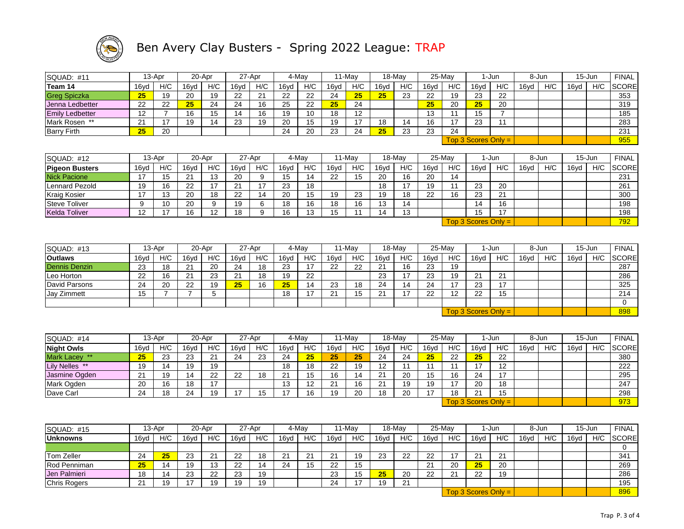

| SQUAD: #11             |                 | 13-Apr          |                 | 20-Apr          |                 | 27-Apr          |                 | 4-May           |                  | 11-May          |                  | 18-May          | 25-May          |                 |                       | 1-Jun           |      | 8-Jun |      | 15-Jun     | <b>FINAL</b> |
|------------------------|-----------------|-----------------|-----------------|-----------------|-----------------|-----------------|-----------------|-----------------|------------------|-----------------|------------------|-----------------|-----------------|-----------------|-----------------------|-----------------|------|-------|------|------------|--------------|
| Team 14                | 16yd            | H/C             | 16yd            | H/C             | 16yd            | H/C             | 16yd            | H/C             | 16yd             | H/C             | 16yd             | H/C             | 16yd            | H/C             | 16yd                  | H/C             | 16yd | H/C   | 16yd | H/C        | <b>SCORE</b> |
| <b>Greg Spiczka</b>    | 25              | 19              | $\overline{20}$ | 19              | $\overline{22}$ | $\overline{21}$ | 22              | $\overline{22}$ | 24               | 25              | 25 <sub>2</sub>  | 23              | 22              | 19              | $\overline{23}$       | 22              |      |       |      |            | 353          |
| Jenna Ledbetter        | 22              | $\overline{22}$ | 25              | $\overline{24}$ | $\overline{24}$ | 16              | $\overline{25}$ | $\overline{22}$ | 25               | $\overline{24}$ |                  |                 | 25              | $\overline{20}$ | 25                    | $\overline{20}$ |      |       |      |            | 319          |
| <b>Emily Ledbetter</b> | 12              | $\overline{7}$  | 16              | 15              | 14              | 16              | 19              | 10              | 18               | 12              |                  |                 | 13              | 11              | 15                    | $\overline{7}$  |      |       |      |            | 185          |
| Mark Rosen **          | $\overline{21}$ | 17              | 19              | $\overline{14}$ | $\overline{23}$ | 19              | $\overline{20}$ | 15              | 19               | 17              | 18               | 14              | 16              | 17              | 23                    | 11              |      |       |      |            | 283          |
| <b>Barry Firth</b>     | 25              | $\overline{20}$ |                 |                 |                 |                 | 24              | $\overline{20}$ | $\overline{23}$  | $\overline{24}$ | 25               | $\overline{23}$ | 23              | $\overline{24}$ |                       |                 |      |       |      |            | 231          |
|                        |                 |                 |                 |                 |                 |                 |                 |                 |                  |                 |                  |                 |                 |                 | Top 3 Scores Only $=$ |                 |      |       |      |            | 955          |
|                        |                 |                 |                 |                 |                 |                 |                 |                 |                  |                 |                  |                 |                 |                 |                       |                 |      |       |      |            |              |
| <b>SQUAD: #12</b>      |                 | 13-Apr          |                 | 20-Apr          |                 | 27-Apr          |                 | 4-May           |                  | 11-May          |                  | 18-May          |                 | 25-May          |                       | 1-Jun           |      | 8-Jun |      | $15 - Jun$ | <b>FINAL</b> |
| <b>Pigeon Busters</b>  | 16yd            | H/C             | 16yd            | H/C             | 16yd            | H/C             | 16yd            | H/C             | 16yd             | H/C             | 16yd             | H/C             | 16yd            | H/C             | 16yd                  | H/C             | 16yd | H/C   | 16yd | H/C        | SCORE        |
| <b>Nick Pacione</b>    | 17              | 15              | $\overline{21}$ | 13              | $\overline{20}$ | 9               | 15              | $\overline{14}$ | $\overline{22}$  | 15              | $\overline{20}$  | 16              | $\overline{20}$ | 14              |                       |                 |      |       |      |            | 231          |
| Lennard Pezold         | 19              | 16              | $\overline{22}$ | $\overline{17}$ | $\overline{21}$ | $\overline{17}$ | $\overline{23}$ | $\overline{18}$ |                  |                 | $\overline{18}$  | $\overline{17}$ | 19              | $\overline{11}$ | 23                    | $\overline{20}$ |      |       |      |            | 261          |
| <b>Kraig Kosier</b>    | 17              | 13              | 20              | 18              | 22              | 14              | 20              | 15              | 19               | 23              | 19               | $\overline{18}$ | 22              | 16              | 23                    | 21              |      |       |      |            | 300          |
| <b>Steve Toliver</b>   | 9               | 10              | 20              | 9               | 19              | 6               | 18              | 16              | 18               | 16              | 13               | 14              |                 |                 | 14                    | 16              |      |       |      |            | 198          |
| <b>Kelda Toliver</b>   | 12              | 17              | 16              | 12              | 18              | 9               | 16              | 13              | 15               | 11              | 14               | 13              |                 |                 | 15                    | 17              |      |       |      |            | 198          |
|                        |                 |                 |                 |                 |                 |                 |                 |                 |                  |                 |                  |                 |                 |                 | $Top 3$ Scores Only = |                 |      |       |      |            | 792          |
|                        |                 |                 |                 |                 |                 |                 |                 |                 |                  |                 |                  |                 |                 |                 |                       |                 |      |       |      |            |              |
| <b>SQUAD: #13</b>      |                 | 13-Apr          |                 | 20-Apr          |                 | 27-Apr          |                 | 4-May           |                  | 11-May          |                  | 18-May          | $25$ -May       |                 |                       | 1-Jun           |      | 8-Jun |      | $15 - Jun$ | <b>FINAL</b> |
| <b>Outlaws</b>         | 16yd            | H/C             | 16yd            | H/C             | 16yd            | H/C             | 16yd            | H/C             | 16y <sub>d</sub> | H/C             | 16y <sub>d</sub> | H/C             | 16yd            | H/C             | 16yd                  | H/C             | 16yd | H/C   | 16yd | H/C        | <b>SCORE</b> |
| <b>Dennis Denzin</b>   | 23              | 18              | 21              | 20              | 24              | 18              | 23              | 17              | 22               | 22              | 21               | 16              | 23              | 19              |                       |                 |      |       |      |            | 287          |
| Leo Horton             | $\overline{22}$ | 16              | $\overline{21}$ | $\overline{23}$ | $\overline{21}$ | $\overline{18}$ | 19              | $\overline{22}$ |                  |                 | 23               | $\overline{17}$ | $\overline{23}$ | 19              | $\overline{21}$       | $\overline{21}$ |      |       |      |            | 286          |
| David Parsons          | 24              | 20              | $\overline{22}$ | 19              | $\overline{25}$ | 16              | 25              | 14              | 23               | 18              | 24               | 14              | 24              | 17              | 23                    | 17              |      |       |      |            | 325          |
| <b>Jay Zimmett</b>     | 15              | $\overline{7}$  | $\overline{7}$  | 5               |                 |                 | 18              | 17              | 21               | 15              | 21               | 17              | 22              | 12              | 22                    | 15              |      |       |      |            | 214          |
|                        |                 |                 |                 |                 |                 |                 |                 |                 |                  |                 |                  |                 |                 |                 |                       |                 |      |       |      |            | $\mathbf 0$  |
|                        |                 |                 |                 |                 |                 |                 |                 |                 |                  |                 |                  |                 |                 |                 | $Top 3$ Scores Only = |                 |      |       |      |            | 898          |
|                        |                 |                 |                 |                 |                 |                 |                 |                 |                  |                 |                  |                 |                 |                 |                       |                 |      |       |      |            |              |
|                        |                 |                 |                 |                 |                 |                 |                 |                 |                  |                 |                  |                 |                 |                 |                       |                 |      |       |      |            |              |
| <b>SQUAD: #14</b>      |                 | 13-Apr          |                 | 20-Apr          |                 | 27-Apr          |                 | 4-May           |                  | 11-May          |                  | 18-May          |                 | 25-May          |                       | 1-Jun           |      | 8-Jun |      | $15 - Jun$ | <b>FINAL</b> |
| <b>Night Owls</b>      | 16yd            | H/C             | 16yd            | H/C             | 16yd            | H/C             | 16yd            | H/C             | 16yd             | H/C             | 16yd             | H/C             | 16yd            | H/C             | 16yd                  | H/C             | 16yd | H/C   | 16yd | H/C        | <b>SCORE</b> |
| Mark Lacey **          | 25              | 23              | 23              | 21              | 24              | 23              | 24              | 25              | 25               | 25              | 24               | 24              | 25              | 22              | 25                    | 22              |      |       |      |            | 380          |
| Lily Nelles **         | 19              | $\overline{14}$ | 19              | 19              |                 |                 | 18              | $\overline{18}$ | 22               | 19              | $\overline{12}$  | $\overline{11}$ | 11              | $\overline{11}$ | 17                    | 12              |      |       |      |            | 222          |
| Jasmine Ogden          | 21              | 19              | 14              | 22              | 22              | 18              | 21              | 15              | 16               | 14              | 21               | 20              | 15              | 16              | 24                    | 17              |      |       |      |            | 295          |
| Mark Ogden             | $\overline{20}$ | 16              | $\overline{18}$ | $\overline{17}$ |                 |                 | 13              | $\overline{12}$ | $\overline{21}$  | 16              | $\overline{21}$  | 19              | 19              | 17              | 20                    | 18              |      |       |      |            | 247          |
| Dave Carl              | $\overline{24}$ | 18              | 24              | 19              | 17              | 15              | 17              | 16              | 19               | 20              | 18               | 20              | 17              | 18              | 21                    | 15              |      |       |      |            | 298          |
|                        |                 |                 |                 |                 |                 |                 |                 |                 |                  |                 |                  |                 |                 |                 | Top 3 Scores Only $=$ |                 |      |       |      |            | 973          |
|                        |                 |                 |                 |                 |                 |                 |                 |                 |                  |                 |                  |                 |                 |                 |                       |                 |      |       |      |            |              |
| SQUAD: #15             |                 | 13-Apr          |                 | 20-Apr          |                 | 27-Apr          |                 | 4-May           |                  | 11-May          |                  | 18-May          |                 | 25-May          |                       | 1-Jun           |      | 8-Jun |      | $15 - Jun$ | <b>FINAL</b> |
|                        |                 |                 |                 |                 |                 |                 |                 |                 |                  |                 |                  |                 |                 |                 |                       |                 |      | H/C   |      |            | <b>SCORE</b> |
| <b>Unknowns</b>        | 16yd            | H/C             | 16yd            | H/C             | 16yd            | H/C             | 16yd            | H/C             | 16yd             | H/C             | 16yd             | H/C             | 16yd            | H/C             | 16yd                  | H/C             | 16yd |       | 16yd | H/C        | $\mathbf 0$  |
| <b>Tom Zeller</b>      | 24              | 25              | 23              | 21              | 22              | 18              | 21              | 21              | 21               | 19              | 23               | 22              | 22              | 17              | 21                    | 21              |      |       |      |            | 341          |
| Rod Penniman           | 25              | 14              | 19              | 13              | 22              | 14              | 24              | 15              | 22               | 15              |                  |                 | 21              | 20              | 25                    | 20              |      |       |      |            | 269          |
| Jen Palmieri           | 18              | 14              | 23              | 22              | 23              | 19              |                 |                 | 23               | 15              | 25               | 20              | 22              | 21              | 22                    | 19              |      |       |      |            | 286          |
| <b>Chris Rogers</b>    | 21              | 19              | 17              | 19              | 19              | 19              |                 |                 | 24               | 17              | 19               | 21              |                 |                 |                       |                 |      |       |      |            | 195          |
|                        |                 |                 |                 |                 |                 |                 |                 |                 |                  |                 |                  |                 |                 |                 | $Top 3$ Scores Only = |                 |      |       |      |            | 896          |
|                        |                 |                 |                 |                 |                 |                 |                 |                 |                  |                 |                  |                 |                 |                 |                       |                 |      |       |      |            |              |